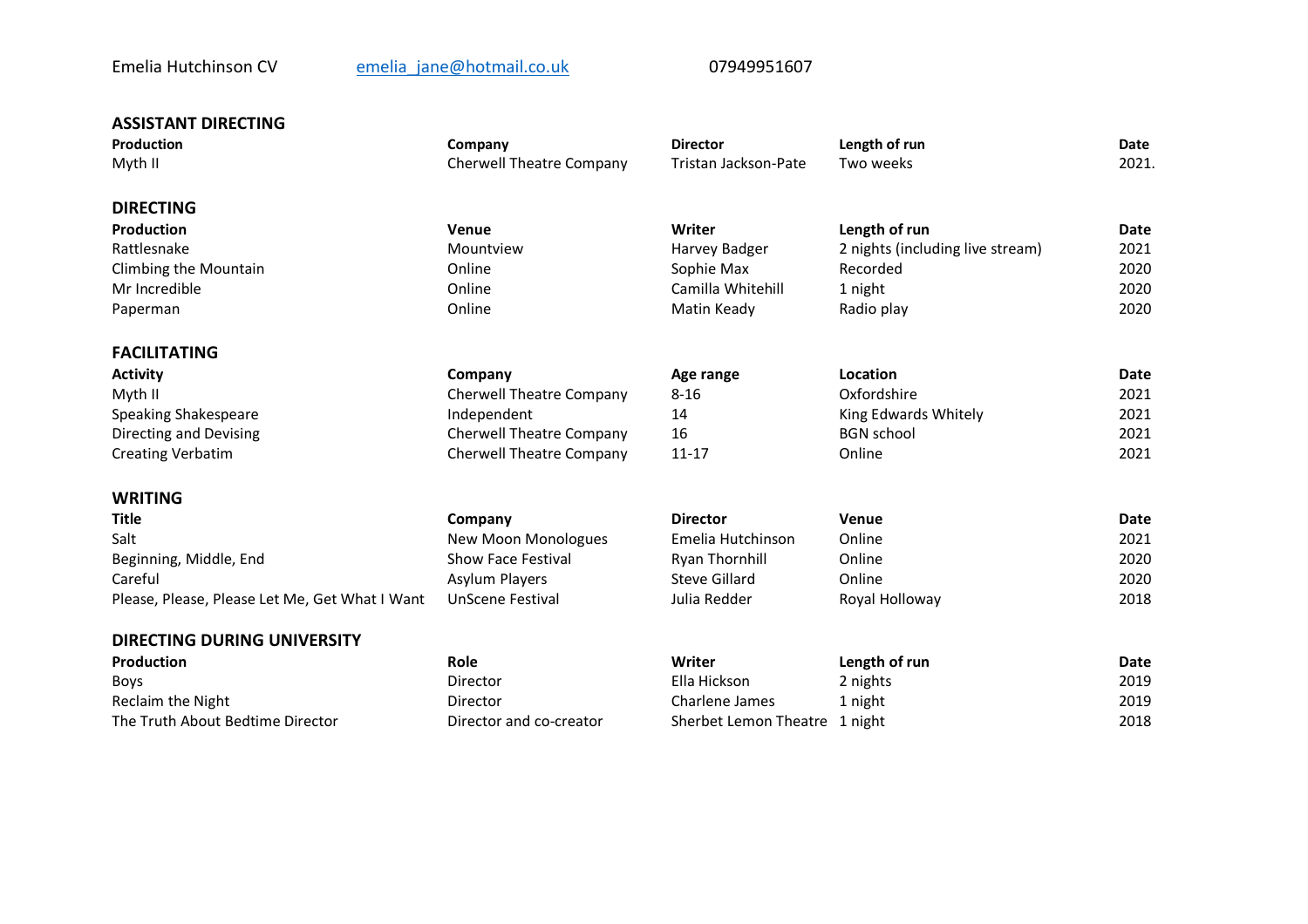# Emelia Hutchinson CV emelia jane@hotmail.co.uk 07949951607

| <b>ASSISTANT DIRECTING</b>                     |                                 |                               |                                  |                      |  |
|------------------------------------------------|---------------------------------|-------------------------------|----------------------------------|----------------------|--|
| <b>Production</b>                              | Company                         | <b>Director</b>               | Length of run                    | <b>Date</b>          |  |
| Myth II                                        | <b>Cherwell Theatre Company</b> | Tristan Jackson-Pate          | Two weeks                        | 2021.                |  |
| <b>DIRECTING</b>                               |                                 |                               |                                  |                      |  |
| <b>Production</b>                              | Venue                           | Writer                        | Length of run                    | <b>Date</b>          |  |
| Rattlesnake                                    | Mountview                       | Harvey Badger                 | 2 nights (including live stream) | 2021<br>2020<br>2020 |  |
| Climbing the Mountain                          | Online                          | Sophie Max                    | Recorded                         |                      |  |
| Mr Incredible                                  | Online                          | Camilla Whitehill             | 1 night                          |                      |  |
| Paperman                                       | Online                          | Matin Keady                   | Radio play                       | 2020                 |  |
| <b>FACILITATING</b>                            |                                 |                               |                                  |                      |  |
| <b>Activity</b>                                | Company                         | Age range                     | Location                         | <b>Date</b>          |  |
| Myth II                                        | <b>Cherwell Theatre Company</b> | $8 - 16$                      | Oxfordshire                      | 2021                 |  |
| Speaking Shakespeare                           | Independent                     | 14                            | King Edwards Whitely             | 2021                 |  |
| Directing and Devising                         | <b>Cherwell Theatre Company</b> | 16                            | <b>BGN</b> school                | 2021                 |  |
| <b>Creating Verbatim</b>                       | <b>Cherwell Theatre Company</b> | $11 - 17$                     | Online                           | 2021                 |  |
| <b>WRITING</b>                                 |                                 |                               |                                  |                      |  |
| <b>Title</b>                                   | Company                         | <b>Director</b>               | Venue                            | <b>Date</b>          |  |
| Salt                                           | <b>New Moon Monologues</b>      | Emelia Hutchinson             | Online                           | 2021                 |  |
| Beginning, Middle, End                         | <b>Show Face Festival</b>       | <b>Ryan Thornhill</b>         | Online                           | 2020                 |  |
| Careful                                        | Asylum Players                  | Steve Gillard                 | Online                           | 2020                 |  |
| Please, Please, Please Let Me, Get What I Want | <b>UnScene Festival</b>         | Julia Redder                  | Royal Holloway                   | 2018                 |  |
| <b>DIRECTING DURING UNIVERSITY</b>             |                                 |                               |                                  |                      |  |
| <b>Production</b>                              | Role                            | Writer                        | Length of run                    | <b>Date</b>          |  |
| Boys                                           | Director                        | Ella Hickson                  | 2 nights                         | 2019                 |  |
| Reclaim the Night                              | Director                        | Charlene James                | 1 night                          | 2019                 |  |
| The Truth About Bedtime Director               | Director and co-creator         | Sherbet Lemon Theatre 1 night |                                  | 2018                 |  |